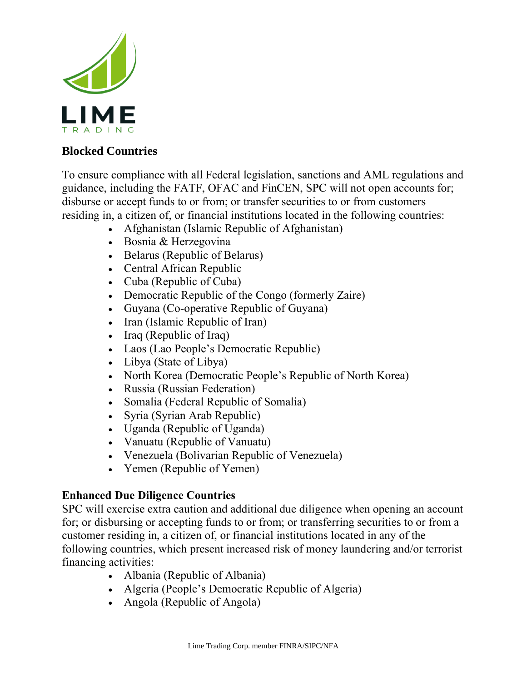

## **Blocked Countries**

To ensure compliance with all Federal legislation, sanctions and AML regulations and guidance, including the FATF, OFAC and FinCEN, SPC will not open accounts for; disburse or accept funds to or from; or transfer securities to or from customers residing in, a citizen of, or financial institutions located in the following countries:

- Afghanistan (Islamic Republic of Afghanistan)
- Bosnia & Herzegovina
- Belarus (Republic of Belarus)
- Central African Republic
- Cuba (Republic of Cuba)
- Democratic Republic of the Congo (formerly Zaire)
- Guyana (Co-operative Republic of Guyana)
- Iran (Islamic Republic of Iran)
- Iraq (Republic of Iraq)
- Laos (Lao People's Democratic Republic)
- Libya (State of Libya)
- North Korea (Democratic People's Republic of North Korea)
- Russia (Russian Federation)
- Somalia (Federal Republic of Somalia)
- Syria (Syrian Arab Republic)
- Uganda (Republic of Uganda)
- Vanuatu (Republic of Vanuatu)
- Venezuela (Bolivarian Republic of Venezuela)
- Yemen (Republic of Yemen)

## **Enhanced Due Diligence Countries**

SPC will exercise extra caution and additional due diligence when opening an account for; or disbursing or accepting funds to or from; or transferring securities to or from a customer residing in, a citizen of, or financial institutions located in any of the following countries, which present increased risk of money laundering and/or terrorist financing activities:

- Albania (Republic of Albania)
- Algeria (People's Democratic Republic of Algeria)
- Angola (Republic of Angola)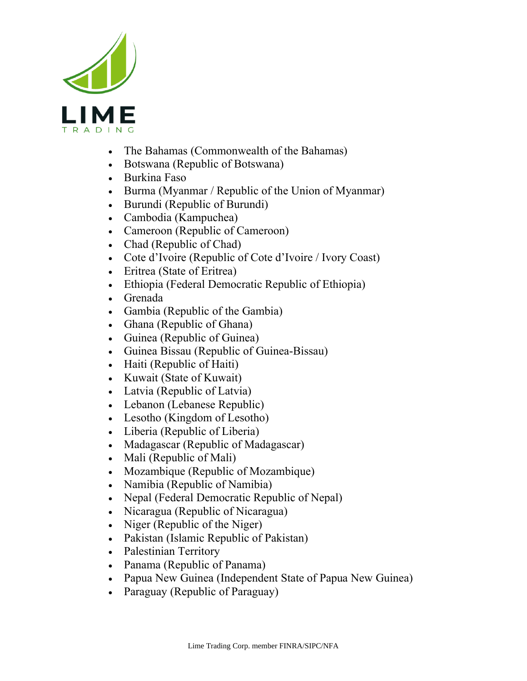

- The Bahamas (Commonwealth of the Bahamas)
- Botswana (Republic of Botswana)
- Burkina Faso
- Burma (Myanmar / Republic of the Union of Myanmar)
- Burundi (Republic of Burundi)
- Cambodia (Kampuchea)
- Cameroon (Republic of Cameroon)
- Chad (Republic of Chad)
- Cote d'Ivoire (Republic of Cote d'Ivoire / Ivory Coast)
- Eritrea (State of Eritrea)
- Ethiopia (Federal Democratic Republic of Ethiopia)
- Grenada
- Gambia (Republic of the Gambia)
- Ghana (Republic of Ghana)
- Guinea (Republic of Guinea)
- Guinea Bissau (Republic of Guinea-Bissau)
- Haiti (Republic of Haiti)
- Kuwait (State of Kuwait)
- Latvia (Republic of Latvia)
- Lebanon (Lebanese Republic)
- Lesotho (Kingdom of Lesotho)
- Liberia (Republic of Liberia)
- Madagascar (Republic of Madagascar)
- Mali (Republic of Mali)
- Mozambique (Republic of Mozambique)
- Namibia (Republic of Namibia)
- Nepal (Federal Democratic Republic of Nepal)
- Nicaragua (Republic of Nicaragua)
- Niger (Republic of the Niger)
- Pakistan (Islamic Republic of Pakistan)
- Palestinian Territory
- Panama (Republic of Panama)
- Papua New Guinea (Independent State of Papua New Guinea)
- Paraguay (Republic of Paraguay)